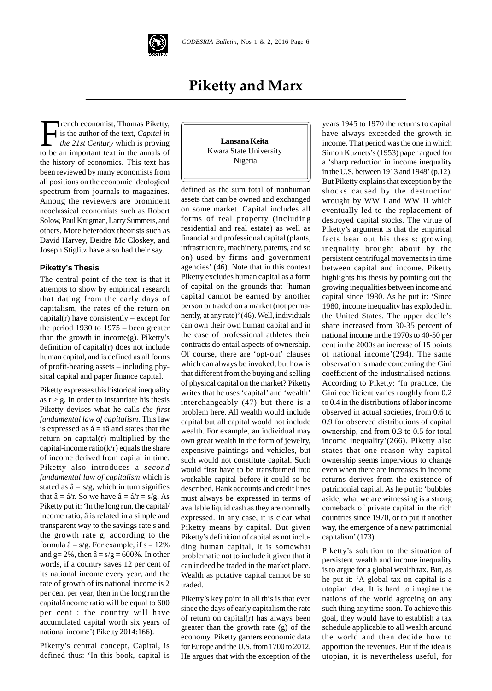

# **Piketty and Marx**

French economist, Thomas Piketty,<br>
is the author of the text, *Capital in*<br>
the 21st Century which is proving<br>
to be an important text in the annals of K is the author of the text, *Capital in the 21st Century* which is proving to be an important text in the annals of the history of economics. This text has been reviewed by many economists from all positions on the economic ideological spectrum from journals to magazines. Among the reviewers are prominent neoclassical economists such as Robert Solow, Paul Krugman, Larry Summers, and others. More heterodox theorists such as David Harvey, Deidre Mc Closkey, and Joseph Stiglitz have also had their say.

#### **Piketty's Thesis**

The central point of the text is that it attempts to show by empirical research that dating from the early days of capitalism, the rates of the return on capital( $r$ ) have consistently – except for the period 1930 to 1975 – been greater than the growth in income(g). Piketty's definition of capital(r) does not include human capital, and is defined as all forms of profit-bearing assets – including physical capital and paper finance capital.

Piketty expresses this historical inequality as  $r > g$ . In order to instantiate his thesis Piketty devises what he calls *the first fundamental law of capitalism*. This law is expressed as  $\acute{a}$  = râ and states that the return on capital(r) multiplied by the capital-income ratio( $k/r$ ) equals the share of income derived from capital in time. Piketty also introduces a *second fundamental law of capitalism* which is stated as  $\hat{a} = s/g$ , which in turn signifies that  $\hat{a} = \hat{a}/r$ . So we have  $\hat{a} = \hat{a}/r = s/g$ . As Piketty put it: 'In the long run, the capital/ income ratio, â is related in a simple and transparent way to the savings rate s and the growth rate g, according to the formula  $\hat{a} = s/g$ . For example, if  $s = 12\%$ and  $g= 2\%$ , then  $\hat{a} = s/g = 600\%$ . In other words, if a country saves 12 per cent of its national income every year, and the rate of growth of its national income is 2 per cent per year, then in the long run the capital/income ratio will be equal to 600 per cent : the country will have accumulated capital worth six years of national income'( Piketty 2014:166).

Piketty's central concept, Capital, is defined thus: 'In this book, capital is



defined as the sum total of nonhuman assets that can be owned and exchanged on some market. Capital includes all forms of real property (including residential and real estate) as well as financial and professional capital (plants, infrastructure, machinery, patents, and so on) used by firms and government agencies' (46). Note that in this context Piketty excludes human capital as a form of capital on the grounds that 'human capital cannot be earned by another person or traded on a market (not permanently, at any rate)' (46). Well, individuals can own their own human capital and in the case of professional athletes their contracts do entail aspects of ownership. Of course, there are 'opt-out' clauses which can always be invoked, but how is that different from the buying and selling of physical capital on the market? Piketty writes that he uses 'capital' and 'wealth' interchangeably (47) but there is a problem here. All wealth would include capital but all capital would not include wealth. For example, an individual may own great wealth in the form of jewelry, expensive paintings and vehicles, but such would not constitute capital. Such would first have to be transformed into workable capital before it could so be described. Bank accounts and credit lines must always be expressed in terms of available liquid cash as they are normally expressed. In any case, it is clear what Piketty means by capital. But given Piketty's definition of capital as not including human capital, it is somewhat problematic not to include it given that it can indeed be traded in the market place. Wealth as putative capital cannot be so traded.

Piketty's key point in all this is that ever since the days of early capitalism the rate of return on capital(r) has always been greater than the growth rate (g) of the economy. Piketty garners economic data for Europe and the U.S. from 1700 to 2012. He argues that with the exception of the

years 1945 to 1970 the returns to capital have always exceeded the growth in income. That period was the one in which Simon Kuznets's (1953) paper argued for a 'sharp reduction in income inequality in the U.S. between 1913 and 1948' (p.12). But Piketty explains that exception by the shocks caused by the destruction wrought by WW I and WW II which eventually led to the replacement of destroyed capital stocks. The virtue of Piketty's argument is that the empirical facts bear out his thesis: growing inequality brought about by the persistent centrifugal movements in time between capital and income. Piketty highlights his thesis by pointing out the growing inequalities between income and capital since 1980. As he put it: 'Since 1980, income inequality has exploded in the United States. The upper decile's share increased from 30-35 percent of national income in the 1970s to 40-50 per cent in the 2000s an increase of 15 points of national income'(294). The same observation is made concerning the Gini coefficient of the industrialised nations. According to Piketty: 'In practice, the Gini coefficient varies roughly from 0.2 to 0.4 in the distributions of labor income observed in actual societies, from 0.6 to 0.9 for observed distributions of capital ownership, and from 0.3 to 0.5 for total income inequality'(266). Piketty also states that one reason why capital ownership seems impervious to change even when there are increases in income returns derives from the existence of patrimonial capital. As he put it: 'bubbles aside, what we are witnessing is a strong comeback of private capital in the rich countries since 1970, or to put it another way, the emergence of a new patrimonial capitalism' (173).

Piketty's solution to the situation of persistent wealth and income inequality is to argue for a global wealth tax. But, as he put it: 'A global tax on capital is a utopian idea. It is hard to imagine the nations of the world agreeing on any such thing any time soon. To achieve this goal, they would have to establish a tax schedule applicable to all wealth around the world and then decide how to apportion the revenues. But if the idea is utopian, it is nevertheless useful, for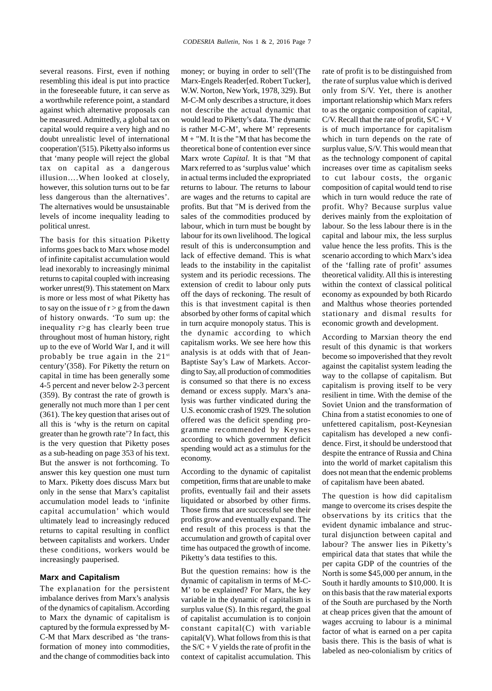several reasons. First, even if nothing resembling this ideal is put into practice in the foreseeable future, it can serve as a worthwhile reference point, a standard against which alternative proposals can be measured. Admittedly, a global tax on capital would require a very high and no doubt unrealistic level of international cooperation'(515). Piketty also informs us that 'many people will reject the global tax on capital as a dangerous illusion….When looked at closely, however, this solution turns out to be far less dangerous than the alternatives'. The alternatives would be unsustainable levels of income inequality leading to political unrest.

The basis for this situation Piketty informs goes back to Marx whose model of infinite capitalist accumulation would lead inexorably to increasingly minimal returns to capital coupled with increasing worker unrest(9). This statement on Marx is more or less most of what Piketty has to say on the issue of  $r > g$  from the dawn of history onwards. 'To sum up: the inequality r>g has clearly been true throughout most of human history, right up to the eve of World War I, and it will probably be true again in the  $21^{st}$ century'(358). For Piketty the return on capital in time has been generally some 4-5 percent and never below 2-3 percent (359). By contrast the rate of growth is generally not much more than 1 per cent (361). The key question that arises out of all this is 'why is the return on capital greater than he growth rate'? In fact, this is the very question that Piketty poses as a sub-heading on page 353 of his text. But the answer is not forthcoming. To answer this key question one must turn to Marx. Piketty does discuss Marx but only in the sense that Marx's capitalist accumulation model leads to 'infinite capital accumulation' which would ultimately lead to increasingly reduced returns to capital resulting in conflict between capitalists and workers. Under these conditions, workers would be increasingly pauperised.

#### **Marx and Capitalism**

The explanation for the persistent imbalance derives from Marx's analysis of the dynamics of capitalism. According to Marx the dynamic of capitalism is captured by the formula expressed by M-C-M that Marx described as 'the transformation of money into commodities, and the change of commodities back into

money; or buying in order to sell'(The Marx-Engels Reader[ed. Robert Tucker], W.W. Norton, New York, 1978, 329). But M-C-M only describes a structure, it does not describe the actual dynamic that would lead to Piketty's data. The dynamic is rather M-C-M', where M' represents  $M + "M$ . It is the "M that has become the theoretical bone of contention ever since Marx wrote *Capital.* It is that "M that Marx referred to as 'surplus value' which in actual terms included the expropriated returns to labour. The returns to labour are wages and the returns to capital are profits. But that "M is derived from the sales of the commodities produced by labour, which in turn must be bought by labour for its own livelihood. The logical result of this is underconsumption and lack of effective demand. This is what leads to the instability in the capitalist system and its periodic recessions. The extension of credit to labour only puts off the days of reckoning. The result of this is that investment capital is then absorbed by other forms of capital which in turn acquire monopoly status. This is the dynamic according to which capitalism works. We see here how this analysis is at odds with that of Jean-Baptiste Say's Law of Markets. According to Say, all production of commodities is consumed so that there is no excess demand or excess supply. Marx's analysis was further vindicated during the U.S. economic crash of 1929. The solution offered was the deficit spending programme recommended by Keynes according to which government deficit spending would act as a stimulus for the economy.

According to the dynamic of capitalist competition, firms that are unable to make profits, eventually fail and their assets liquidated or absorbed by other firms. Those firms that are successful see their profits grow and eventually expand. The end result of this process is that the accumulation and growth of capital over time has outpaced the growth of income. Piketty's data testifies to this.

But the question remains: how is the dynamic of capitalism in terms of M-C-M' to be explained? For Marx, the key variable in the dynamic of capitalism is surplus value (S). In this regard, the goal of capitalist accumulation is to conjoin constant capital(C) with variable capital(V). What follows from this is that the  $S/C + V$  yields the rate of profit in the context of capitalist accumulation. This

rate of profit is to be distinguished from the rate of surplus value which is derived only from S/V. Yet, there is another important relationship which Marx refers to as the organic composition of capital, C/V. Recall that the rate of profit,  $S/C + V$ is of much importance for capitalism which in turn depends on the rate of surplus value, S/V. This would mean that as the technology component of capital increases over time as capitalism seeks to cut labour costs, the organic composition of capital would tend to rise which in turn would reduce the rate of profit. Why? Because surplus value derives mainly from the exploitation of labour. So the less labour there is in the capital and labour mix, the less surplus value hence the less profits. This is the scenario according to which Marx's idea of the 'falling rate of profit' assumes theoretical validity. All this is interesting within the context of classical political economy as expounded by both Ricardo and Malthus whose theories portended stationary and dismal results for economic growth and development.

According to Marxian theory the end result of this dynamic is that workers become so impoverished that they revolt against the capitalist system leading the way to the collapse of capitalism. But capitalism is proving itself to be very resilient in time. With the demise of the Soviet Union and the transformation of China from a statist economies to one of unfettered capitalism, post-Keynesian capitalism has developed a new confidence. First, it should be understood that despite the entrance of Russia and China into the world of market capitalism this does not mean that the endemic problems of capitalism have been abated.

The question is how did capitalism mange to overcome its crises despite the observations by its critics that the evident dynamic imbalance and structural disjunction between capital and labour? The answer lies in Piketty's empirical data that states that while the per capita GDP of the countries of the North is some \$45,000 per annum, in the South it hardly amounts to \$10,000. It is on this basis that the raw material exports of the South are purchased by the North at cheap prices given that the amount of wages accruing to labour is a minimal factor of what is earned on a per capita basis there. This is the basis of what is labeled as neo-colonialism by critics of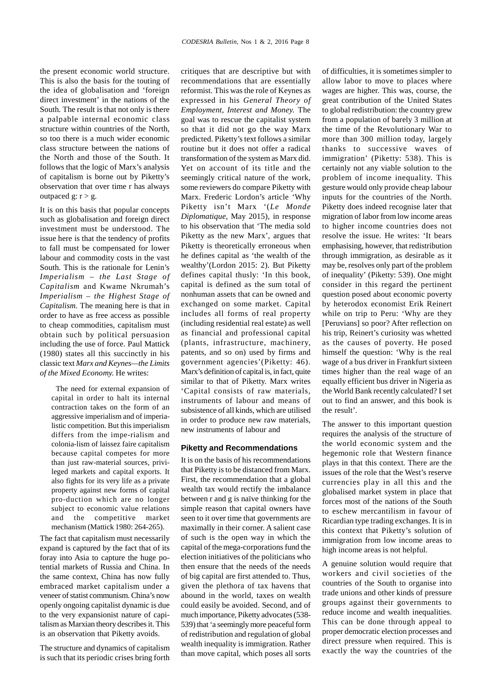the present economic world structure. This is also the basis for the touting of the idea of globalisation and 'foreign direct investment' in the nations of the South. The result is that not only is there a palpable internal economic class structure within countries of the North, so too there is a much wider economic class structure between the nations of the North and those of the South. It follows that the logic of Marx's analysis of capitalism is borne out by Piketty's observation that over time r has always outpaced  $g: r > g$ .

It is on this basis that popular concepts such as globalisation and foreign direct investment must be understood. The issue here is that the tendency of profits to fall must be compensated for lower labour and commodity costs in the vast South. This is the rationale for Lenin's *Imperialism – the Last Stage of Capitalism* and Kwame Nkrumah's *Imperialism – the Highest Stage of Capitalism.* The meaning here is that in order to have as free access as possible to cheap commodities, capitalism must obtain such by political persuasion including the use of force. Paul Mattick (1980) states all this succinctly in his classic text *Marx and Keynes—the Limits of the Mixed Economy.* He writes:

The need for external expansion of capital in order to halt its internal contraction takes on the form of an aggressive imperialism and of imperialistic competition. But this imperialism differs from the impe-rialism and colonia-lism of laissez faire capitalism because capital competes for more than just raw-material sources, privileged markets and capital exports. It also fights for its very life as a private property against new forms of capital pro-duction which are no longer subject to economic value relations and the competitive market mechanism (Mattick 1980: 264-265).

The fact that capitalism must necessarily expand is captured by the fact that of its foray into Asia to capture the huge potential markets of Russia and China. In the same context, China has now fully embraced market capitalism under a veneer of statist communism. China's now openly ongoing capitalist dynamic is due to the very expansionist nature of capitalism as Marxian theory describes it. This is an observation that Piketty avoids.

The structure and dynamics of capitalism is such that its periodic crises bring forth critiques that are descriptive but with recommendations that are essentially reformist. This was the role of Keynes as expressed in his *General Theory of Employment, Interest and Money.* The goal was to rescue the capitalist system so that it did not go the way Marx predicted. Piketty's text follows a similar routine but it does not offer a radical transformation of the system as Marx did. Yet on account of its title and the seemingly critical nature of the work, some reviewers do compare Piketty with Marx. Frederic Lordon's article 'Why Piketty isn't Marx '(*Le Monde Diplomatique*, May 2015), in response to his observation that 'The media sold Piketty as the new Marx', argues that Piketty is theoretically erroneous when he defines capital as 'the wealth of the wealthy'(Lordon 2015: 2). But Piketty defines capital thusly: 'In this book, capital is defined as the sum total of nonhuman assets that can be owned and exchanged on some market. Capital includes all forms of real property (including residential real estate) as well as financial and professional capital (plants, infrastructure, machinery, patents, and so on) used by firms and government agencies'(Piketty: 46). Marx's definition of capital is, in fact, quite similar to that of Piketty. Marx writes 'Capital consists of raw materials, instruments of labour and means of subsistence of all kinds, which are utilised in order to produce new raw materials, new instruments of labour and

#### **Piketty and Recommendations**

It is on the basis of his recommendations that Piketty is to be distanced from Marx. First, the recommendation that a global wealth tax would rectify the imbalance between r and g is naïve thinking for the simple reason that capital owners have seen to it over time that governments are maximally in their corner. A salient case of such is the open way in which the capital of the mega-corporations fund the election initiatives of the politicians who then ensure that the needs of the needs of big capital are first attended to. Thus, given the plethora of tax havens that abound in the world, taxes on wealth could easily be avoided. Second, and of much importance, Piketty advocates (538- 539) that 'a seemingly more peaceful form of redistribution and regulation of global wealth inequality is immigration. Rather than move capital, which poses all sorts of difficulties, it is sometimes simpler to allow labor to move to places where wages are higher. This was, course, the great contribution of the United States to global redistribution: the country grew from a population of barely 3 million at the time of the Revolutionary War to more than 300 million today, largely thanks to successive waves of immigration' (Piketty: 538). This is certainly not any viable solution to the problem of income inequality. This gesture would only provide cheap labour inputs for the countries of the North. Piketty does indeed recognise later that migration of labor from low income areas to higher income countries does not resolve the issue. He writes: 'It bears emphasising, however, that redistribution through immigration, as desirable as it may be, resolves only part of the problem of inequality' (Piketty: 539). One might consider in this regard the pertinent question posed about economic poverty by heterodox economist Erik Reinert while on trip to Peru: 'Why are they [Peruvians] so poor? After reflection on his trip, Reinert's curiosity was whetted as the causes of poverty. He posed himself the question: 'Why is the real wage of a bus driver in Frankfurt sixteen times higher than the real wage of an equally efficient bus driver in Nigeria as the World Bank recently calculated? I set out to find an answer, and this book is the result'.

The answer to this important question requires the analysis of the structure of the world economic system and the hegemonic role that Western finance plays in that this context. There are the issues of the role that the West's reserve currencies play in all this and the globalised market system in place that forces most of the nations of the South to eschew mercantilism in favour of Ricardian type trading exchanges. It is in this context that Piketty's solution of immigration from low income areas to high income areas is not helpful.

A genuine solution would require that workers and civil societies of the countries of the South to organise into trade unions and other kinds of pressure groups against their governments to reduce income and wealth inequalities. This can be done through appeal to proper democratic election processes and direct pressure when required. This is exactly the way the countries of the